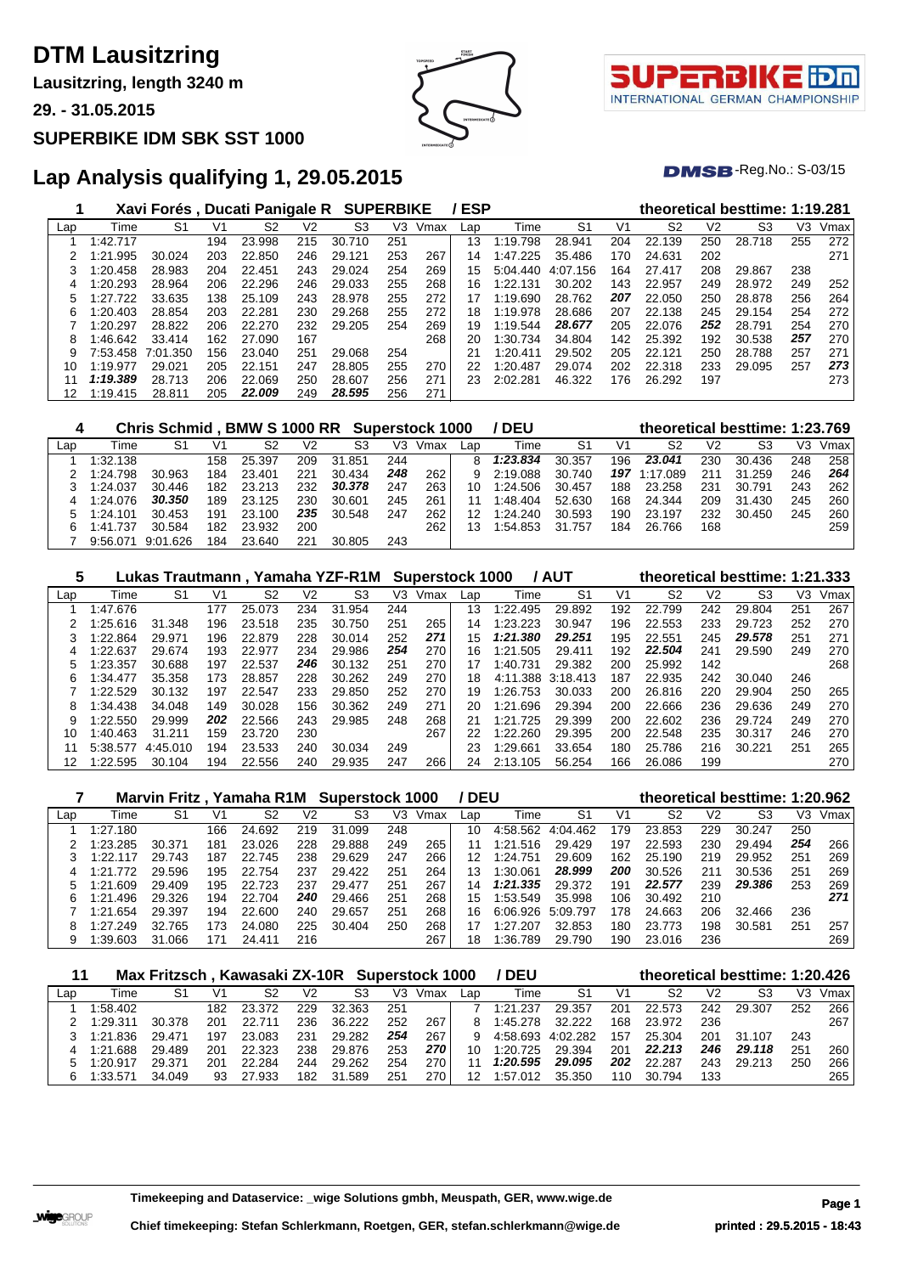**Lausitzring, length 3240 m**

**29. - 31.05.2015**

#### **SUPERBIKE IDM SBK SST 1000**



τl INTERNATIONAL GERMAN CHAMPIONSHIP

 $DMSB$ -Reg.No.:  $S-03/15$ 

### **Lap Analysis qualifying 1, 29.05.2015**

|     |          | Xavi Forés, Ducati Panigale R |     |        |     | <b>SUPERBIKE</b> |     |      | <b>ESP</b> |          |                |     |                |     | theoretical besttime: 1:19.281 |     |      |
|-----|----------|-------------------------------|-----|--------|-----|------------------|-----|------|------------|----------|----------------|-----|----------------|-----|--------------------------------|-----|------|
| Lap | Time     | S1                            | V1  | S2     | V2  | S <sub>3</sub>   | V3  | Vmax | Lap        | Time     | S <sub>1</sub> | V1  | S <sub>2</sub> | V2  | S <sub>3</sub>                 | V3  | Vmax |
|     | :42.717  |                               | 194 | 23.998 | 215 | 30.<br>.710      | 251 |      | 13         | 1:19.798 | 28.941         | 204 | 22.139         | 250 | 28.718                         | 255 | 272  |
|     | 1:21.995 | 30.024                        | 203 | 22.850 | 246 | 29.121           | 253 | 267  | 14         | 1:47.225 | 35.486         | 170 | 24.631         | 202 |                                |     | 271  |
|     | 1:20.458 | 28.983                        | 204 | 22.451 | 243 | 29.024           | 254 | 269  | 15         | 5:04.440 | 4:07.156       | 164 | 27.417         | 208 | 29.867                         | 238 |      |
| 4   | :20.293  | 28.964                        | 206 | 22.296 | 246 | 29.033           | 255 | 268  | 16         | 1:22.131 | 30.202         | 143 | 22.957         | 249 | 28.972                         | 249 | 252  |
| 5   | 1:27.722 | 33.635                        | 138 | 25.109 | 243 | 28.978           | 255 | 272  | 17         | 1:19.690 | 28.762         | 207 | 22.050         | 250 | 28.878                         | 256 | 264  |
| 6   | :20.403  | 28.854                        | 203 | 22.281 | 230 | 29.268           | 255 | 272  | 18         | 1:19.978 | 28.686         | 207 | 22.138         | 245 | 29.154                         | 254 | 272  |
|     | 1:20.297 | 28.822                        | 206 | 22.270 | 232 | 29.205           | 254 | 269  | 19         | 1:19.544 | 28.677         | 205 | 22.076         | 252 | 28.791                         | 254 | 270  |
| 8   | :46.642  | 33.414                        | 162 | 27.090 | 167 |                  |     | 268  | 20         | 1:30.734 | 34.804         | 142 | 25.392         | 192 | 30.538                         | 257 | 270  |
| 9   | 7:53.458 | 7:01.350                      | 156 | 23.040 | 251 | 29.068           | 254 |      | 21         | 1:20.411 | 29.502         | 205 | 22.121         | 250 | 28.788                         | 257 | 271  |
| 10  | 1:19.977 | 29.021                        | 205 | 22.151 | 247 | 28.805           | 255 | 270  | 22         | 1:20.487 | 29.074         | 202 | 22.318         | 233 | 29.095                         | 257 | 273  |
| 11  | 1:19.389 | 28.713                        | 206 | 22.069 | 250 | 28.607           | 256 | 271  | 23         | 2:02.281 | 46.322         | 176 | 26.292         | 197 |                                |     | 273  |
| 12  | 1:19.415 | 28.811                        | 205 | 22.009 | 249 | 28.595           | 256 | 271  |            |          |                |     |                |     |                                |     |      |

|     |          | Chris Schmid, BMW S 1000 RR Superstock 1000 |     |        |      |        |     |      |     | / DEU    |        |     | theoretical besttime: 1:23.769 |                |        |     |      |
|-----|----------|---------------------------------------------|-----|--------|------|--------|-----|------|-----|----------|--------|-----|--------------------------------|----------------|--------|-----|------|
| Lap | Time     | S1                                          | V1  | S2     | V2   | S3     | V3  | Vmax | Lap | Time     | S1     | V1  | S2                             | V <sub>2</sub> | S3     | V3  | Vmax |
|     | 1:32.138 |                                             | 158 | 25.397 | 209  | 31.851 | 244 |      | 8   | 1:23.834 | 30.357 | 196 | 23.041                         | 230            | 30.436 | 248 | 258  |
|     | 1:24.798 | 30.963                                      | 184 | 23.401 | 221  | 30.434 | 248 | 262  | 9   | 2:19.088 | 30.740 | 197 | 1:17.089                       | 211            | 31.259 | 246 | 264  |
|     | 1:24.037 | 30.446                                      | 182 | 23.213 | 232. | 30.378 | 247 | 263  | 10  | 1:24.506 | 30.457 | 188 | 23.258                         | 231            | 30.791 | 243 | 262  |
| 4   | 1:24.076 | 30.350                                      | 189 | 23.125 | 230  | 30.601 | 245 | 261  |     | 1:48.404 | 52.630 | 168 | 24.344                         | 209            | 31.430 | 245 | 260  |
| 5   | 1:24.101 | 30.453                                      | 191 | 23.100 | 235  | 30.548 | 247 | 262  | 12  | 1:24.240 | 30.593 | 190 | 23.197                         | 232            | 30.450 | 245 | 260  |
| 6   | 1:41.737 | 30.584                                      | 182 | 23.932 | 200  |        |     | 262  | 13  | 1:54.853 | 31.757 | 184 | 26.766                         | 168            |        |     | 259  |
|     | 9:56.071 | 9:01.626                                    | 184 | 23.640 | 221  | 30.805 | 243 |      |     |          |        |     |                                |                |        |     |      |

| 5   |          |          |     |        |     | Lukas Trautmann, Yamaha YZF-R1M Superstock 1000 |     |      |     |              | <b>/ AUT</b>   |     |        |     | theoretical besttime: 1:21.333 |     |      |
|-----|----------|----------|-----|--------|-----|-------------------------------------------------|-----|------|-----|--------------|----------------|-----|--------|-----|--------------------------------|-----|------|
| Lap | Time     | S1       | V1  | S2     | V2  | S3                                              | V3  | Vmax | Lap | Time         | S <sub>1</sub> | V1  | S2     | V2  | S3                             | V3  | Vmax |
|     | 1:47.676 |          | 177 | 25.073 | 234 | 31.954                                          | 244 |      | 13  | 1:22.495     | 29.892         | 192 | 22.799 | 242 | 29.804                         | 251 | 267  |
|     | 1:25.616 | 31.348   | 196 | 23.518 | 235 | 30.750                                          | 251 | 265  | 14  | 1:23.223     | 30.947         | 196 | 22.553 | 233 | 29.723                         | 252 | 270  |
|     | 1:22.864 | 29.971   | 196 | 22.879 | 228 | 30.014                                          | 252 | 271  | 15  | 1:21.380     | 29.251         | 195 | 22.551 | 245 | 29,578                         | 251 | 271  |
|     | 1:22.637 | 29.674   | 193 | 22,977 | 234 | 29.986                                          | 254 | 270  | 16  | 1:21<br>.505 | 29.411         | 192 | 22.504 | 241 | 29.590                         | 249 | 270  |
|     | 1:23.357 | 30.688   | 197 | 22.537 | 246 | 30.132                                          | 251 | 270  | 17  | 1:40.731     | 29.382         | 200 | 25.992 | 142 |                                |     | 268  |
| 6   | 1:34.477 | 35.358   | 173 | 28.857 | 228 | 30.262                                          | 249 | 270  | 18  | 4:11.388     | 3:18.413       | 187 | 22.935 | 242 | 30.040                         | 246 |      |
|     | 1:22.529 | 30.132   | 197 | 22.547 | 233 | 29.850                                          | 252 | 270  | 19  | 1:26.753     | 30.033         | 200 | 26.816 | 220 | 29.904                         | 250 | 265  |
| 8   | 1:34.438 | 34.048   | 149 | 30.028 | 156 | 30.362                                          | 249 | 271  | 20  | 1:21<br>.696 | 29.394         | 200 | 22.666 | 236 | 29.636                         | 249 | 270  |
| 9   | 1:22.550 | 29.999   | 202 | 22.566 | 243 | 29.985                                          | 248 | 268  | 21  | 1:21<br>.725 | 29.399         | 200 | 22.602 | 236 | 29.724                         | 249 | 270  |
| 10  | 1:40.463 | 31.211   | 159 | 23.720 | 230 |                                                 |     | 267  | 22  | 1:22.260     | 29.395         | 200 | 22.548 | 235 | 30.317                         | 246 | 270  |
| 11  | 5:38.577 | 4.45.010 | 194 | 23.533 | 240 | 30.034                                          | 249 |      | 23  | 1:29.661     | 33.654         | 180 | 25.786 | 216 | 30.221                         | 251 | 265  |
| 12  | 1:22.595 | 30.104   | 194 | 22.556 | 240 | 29.935                                          | 247 | 266  | 24  | 2:13.105     | 56.254         | 166 | 26.086 | 199 |                                |     | 270  |

|     |              |        |     |            |     | Marvin Fritz, Yamaha R1M Superstock 1000 |     |      | / DEU |              |          |     | theoretical besttime: 1:20.962 |     |        |     |      |
|-----|--------------|--------|-----|------------|-----|------------------------------------------|-----|------|-------|--------------|----------|-----|--------------------------------|-----|--------|-----|------|
| Lap | Time         | S1     | V1  | S2         | V2  | S3                                       | V3  | Vmax | Lap   | Time         | S1       | V1  | S2                             | V2  | S3     | VЗ  | Vmax |
|     | 1:27.180     |        | 166 | 24.692     | 219 | 31<br>.099                               | 248 |      | 10    | 4:58.562     | 4:04.462 | 179 | 23.853                         | 229 | 30.247 | 250 |      |
|     | 1:23.285     | 30.371 | 181 | 23.026     | 228 | 29.888                                   | 249 | 265  |       | 1:21.516     | 29.429   | 197 | 22.593                         | 230 | 29.494 | 254 | 266  |
|     | 1.22<br>117  | 29.743 | 187 | 22.<br>745 | 238 | 29.629                                   | 247 | 266  | 12    | 1:24.751     | 29.609   | 162 | 25.190                         | 219 | 29.952 | 251 | 269  |
| 4   | 772          | 29.596 | 195 | 22.754     | 237 | 29.422                                   | 251 | 264  | 13    | l:30.061     | 28.999   | 200 | 30.526                         | 211 | 30.536 | 251 | 269  |
|     | .609<br>1:21 | 29.409 | 195 | 22.723     | 237 | 29.477                                   | 251 | 267  | 14    | 1:21.335     | 29.372   | 191 | 22.577                         | 239 | 29,386 | 253 | 269  |
| հ   | 1:21.496     | 29.326 | 194 | 22.704     | 240 | 29.466                                   | 251 | 268  | 15    | 1:53.549     | 35.998   | 106 | 30.492                         | 210 |        |     | 271  |
|     | 1:21.654     | 29.397 | 194 | 22,600     | 240 | 29.657                                   | 251 | 268  | 16    | 6:06.926     | 5:09.797 | 178 | 24.663                         | 206 | 32.466 | 236 |      |
| 8   | 1:27.249     | 32.765 | 173 | 24.080     | 225 | 30.404                                   | 250 | 268  |       | - 27<br>.207 | 32.853   | 180 | 23.773                         | 198 | 30.581 | 251 | 257  |
|     | 1:39.603     | 31.066 | 17٬ | 24.411     | 216 |                                          |     | 267  | 18    | :36.<br>.789 | 29.790   | 190 | 23.016                         | 236 |        |     | 269  |

|     |               | Max Fritzsch, Kawasaki ZX-10R Superstock 1000 |     |        |     |            |     |      |     | <b>DEU</b> |          |     |        |                | theoretical besttime: 1:20.426 |     |      |
|-----|---------------|-----------------------------------------------|-----|--------|-----|------------|-----|------|-----|------------|----------|-----|--------|----------------|--------------------------------|-----|------|
| Lap | Time          | -S1                                           | V1  | S2     | V2  | S3         | V3  | Vmax | Lap | Time       | S1       | V1  | S2     | V <sub>2</sub> | S3                             | V3  | Vmax |
|     | 1:58.402      |                                               | 182 | 23.372 | 229 | 32.363     | 25' |      |     | 1:21.237   | 29.357   | 201 | 22.573 | 242            | 29.307                         | 252 | 266  |
|     | 1:29.311      | 30.378                                        | 201 | 22.711 | 236 | 36.222     | 252 | 267  |     | 1:45.278   | 32.222   | 168 | 23.972 | 236            |                                |     | 267  |
|     | 1:21.836      | 29.471                                        | 197 | 23.083 | 231 | 29.282     | 254 | 267  |     | 4:58.693   | 4:02.282 | 157 | 25.304 | 201            | 31.107                         | 243 |      |
|     | .688<br>1:21. | 29.489                                        | 201 | 22.323 | 238 | 29.876     | 253 | 270  |     | 1:20.725   | 29.394   | 201 | 22.213 | 246            | 29.118                         | 251 | 260  |
|     | 1:20.917      | 29.371                                        | 201 | 22.284 | 244 | 29.262     | 254 | 270  |     | 1:20.595   | 29.095   | 202 | 22.287 | 243            | 29.213                         | 250 | 266  |
| 6   | 1:33.571      | 34.049                                        |     | 27.933 | 182 | .589<br>31 | 251 | 270  |     | 1:57.012   | 35.350   | 110 | 30.794 | 133            |                                |     | 265  |

**Timekeeping and Dataservice: \_wige Solutions gmbh, Meuspath, GER, www.wige.de Page 1**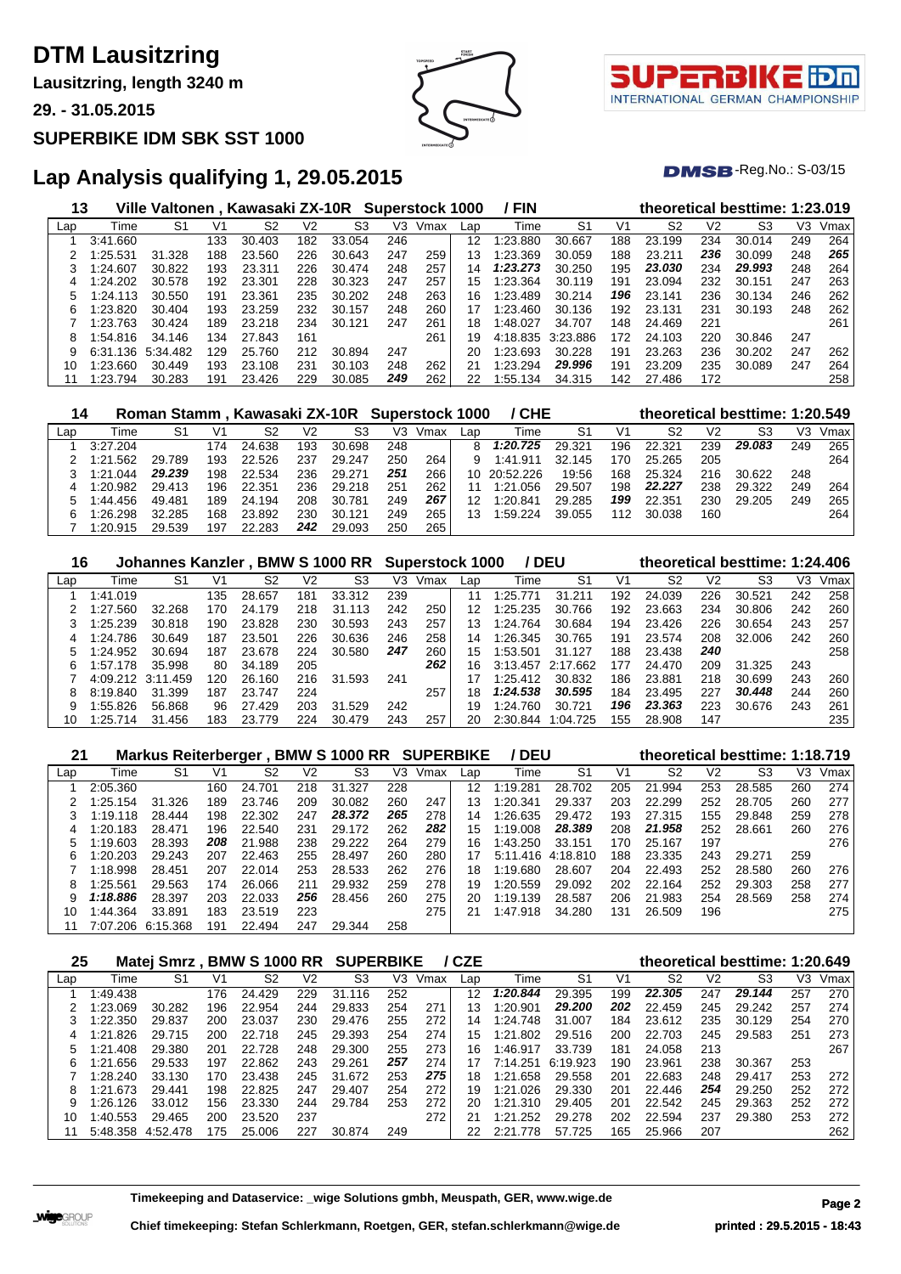**Lausitzring, length 3240 m**

**29. - 31.05.2015**

#### **SUPERBIKE IDM SBK SST 1000**



T. INTERNATIONAL GERMAN CHAMPIONSHIP

 $DMSB$ -Reg.No.:  $S-03/15$ 

### **Lap Analysis qualifying 1, 29.05.2015**

| 13  |          | Ville Valtonen , Kawasaki ZX-10R |     |        |     |        |     | Superstock 1000 |     | / FIN    |                |     |        |     | theoretical besttime: 1:23.019 |     |      |
|-----|----------|----------------------------------|-----|--------|-----|--------|-----|-----------------|-----|----------|----------------|-----|--------|-----|--------------------------------|-----|------|
| Lap | Time     | S1                               | V1  | S2     | V2  | S3     | V3  | Vmax            | Lap | Time     | S <sub>1</sub> | V1  | S2     | V2  | S3                             | V3  | Vmax |
|     | 3:41.660 |                                  | 133 | 30.403 | 182 | 33.054 | 246 |                 | 12  | 1:23.880 | 30.667         | 188 | 23.199 | 234 | 30.014                         | 249 | 264  |
|     | :25.531  | 31.328                           | 188 | 23.560 | 226 | 30.643 | 247 | 259             | 13  | 1:23.369 | 30.059         | 188 | 23.211 | 236 | 30.099                         | 248 | 265  |
|     | 1:24.607 | 30.822                           | 193 | 23.311 | 226 | 30.474 | 248 | 257             | 14  | 1:23.273 | 30.250         | 195 | 23.030 | 234 | 29.993                         | 248 | 264  |
| 4   | 1:24.202 | 30.578                           | 192 | 23.301 | 228 | 30.323 | 247 | 257             | 15  | 1:23.364 | 30.119         | 191 | 23.094 | 232 | 30.151                         | 247 | 263  |
| 5   | 1:24.113 | 30.550                           | 191 | 23.361 | 235 | 30.202 | 248 | 263             | 16  | 1:23.489 | 30.214         | 196 | 23.141 | 236 | 30.134                         | 246 | 262  |
| 6   | :23.820  | 30.404                           | 193 | 23.259 | 232 | 30.157 | 248 | 260             | 17  | 1:23.460 | 30.136         | 192 | 23.131 | 231 | 30.193                         | 248 | 262  |
|     | 1:23.763 | 30.424                           | 189 | 23.218 | 234 | 30.121 | 247 | 261             | 18  | 1:48.027 | 34.707         | 148 | 24.469 | 221 |                                |     | 261  |
| 8   | 1:54.816 | 34.146                           | 134 | 27.843 | 161 |        |     | 261             | 19  | 4:18.835 | 3:23.886       | 172 | 24.103 | 220 | 30.846                         | 247 |      |
| 9   | 6:31.136 | 5:34.482                         | 129 | 25.760 | 212 | 30.894 | 247 |                 | 20  | 1:23.693 | 30.228         | 191 | 23.263 | 236 | 30.202                         | 247 | 262  |
| 10  | 1:23.660 | 30.449                           | 193 | 23.108 | 231 | 30.103 | 248 | 262             | 21  | 1:23.294 | 29.996         | 191 | 23.209 | 235 | 30.089                         | 247 | 264  |
|     | 1:23.794 | 30.283                           | 191 | 23.426 | 229 | 30.085 | 249 | 262             | 22  | 1:55.134 | 34.315         | 142 | 27.486 | 172 |                                |     | 258  |

| 14  |          |        |     | Roman Stamm, Kawasaki ZX-10R Superstock 1000 |     |        |     |      |     | / CHE        |                |     |        |                | theoretical besttime: 1:20.549 |     |      |
|-----|----------|--------|-----|----------------------------------------------|-----|--------|-----|------|-----|--------------|----------------|-----|--------|----------------|--------------------------------|-----|------|
| Lap | Time     | S1     | V1  | S2                                           | V2  | S3     | V3  | Vmax | Lap | Time         | S <sub>1</sub> | V1  | S2     | V <sub>2</sub> | S3                             | VЗ  | Vmax |
|     | 3:27.204 |        | 174 | 24.638                                       | 193 | 30.698 | 248 |      | 8   | 1:20.725     | 29.321         | 196 | 22.321 | 239            | 29.083                         | 249 | 265  |
|     | 1:21.562 | 29.789 | 193 | 22.526                                       | 237 | 29.247 | 250 | 264  | 9   | 1:41.911     | 32.145         | 170 | 25.265 | 205            |                                |     | 264  |
|     | 1:21.044 | 29.239 | 198 | 22.534                                       | 236 | 29.271 | 251 | 266  |     | 10 20:52.226 | 19:56          | 168 | 25.324 | 216            | 30.622                         | 248 |      |
|     | 1:20.982 | 29.413 | 196 | 22.351                                       | 236 | 29.218 | 251 | 262  | 11  | 1:21.056     | 29.507         | 198 | 22.227 | 238            | 29.322                         | 249 | 264  |
| 'n. | 1:44.456 | 49.481 | 189 | 24.194                                       | 208 | 30.781 | 249 | 267  | 12  | 1:20.841     | 29.285         | 199 | 22.351 | 230            | 29.205                         | 249 | 265  |
| 6   | 1:26.298 | 32.285 | 168 | 23.892                                       | 230 | 30.121 | 249 | 265  |     | 1:59.224     | 39.055         | 112 | 30.038 | 160            |                                |     | 264  |
|     | 1:20.915 | 29.539 | 197 | 22.283                                       | 242 | 29.093 | 250 | 265  |     |              |                |     |        |                |                                |     |      |

| 16  |          | Johannes Kanzler, BMW S 1000 RR |     |        |      |             |     | <b>Superstock 1000</b> |     |              | / DEU      |     |        |                | theoretical besttime: 1:24.406 |     |      |
|-----|----------|---------------------------------|-----|--------|------|-------------|-----|------------------------|-----|--------------|------------|-----|--------|----------------|--------------------------------|-----|------|
| Lap | Time     | S1                              | V١  | S2     | V2   | S3          | V3  | Vmax                   | Lap | Time         | S1         | V1  | S2     | V <sub>2</sub> | S3                             | V3  | Vmax |
|     | 1:41.019 |                                 | 135 | 28.657 | 181  | 33.312      | 239 |                        |     | 1:25.<br>771 | 31<br>.211 | 192 | 24.039 | 226            | 30.521                         | 242 | 258  |
|     | 1:27.560 | 32.268                          | 170 | 24.179 | 218  | 31<br>.113  | 242 | 250                    | 12  | 1:25.235     | 30.766     | 192 | 23.663 | 234            | 30.806                         | 242 | 260  |
|     | 1:25.239 | 30.818                          | 190 | 23.828 | 230  | 30.593      | 243 | 257                    | 13  | 1:24.764     | 30.684     | 194 | 23.426 | 226            | 30.654                         | 243 | 257  |
|     | 1:24.786 | 30.649                          | 187 | 23.501 | 226  | 30.636      | 246 | 258                    | 14  | 1:26.345     | 30.765     | 191 | 23.574 | 208            | 32,006                         | 242 | 260  |
|     | 1:24.952 | 30.694                          | 187 | 23.678 | 224  | 30.580      | 247 | 260                    | 15  | 1:53.501     | 31.127     | 188 | 23.438 | 240            |                                |     | 258  |
| 6   | 1:57.178 | 35.998                          | 80  | 34.189 | 205  |             |     | 262                    | 16  | 3:13.457     | 2:17.662   | 177 | 24.470 | 209            | 31.325                         | 243 |      |
|     | 4:09.212 | 3:11<br>.459                    | 120 | 26.160 | 216. | .593<br>31. | 241 |                        |     | 1:25.412     | 30.832     | 186 | 23.881 | 218            | 30.699                         | 243 | 260  |
| 8   | 8:19.840 | 31.399                          | 187 | 23.747 | 224  |             |     | 257                    | 18  | 1:24.538     | 30.595     | 184 | 23.495 | 227            | 30.448                         | 244 | 260  |
|     | 1:55.826 | 56.868                          | 96  | 27.429 | 203  | 31.529      | 242 |                        | 19  | 1:24.760     | 30.721     | 196 | 23.363 | 223            | 30.676                         | 243 | 261  |
| 10  | 1:25.714 | 31.456                          | 183 | 23.779 | 224  | 30.479      | 243 | 257                    | 20  | 2:30.844     | :04.725    | 155 | 28,908 | 147            |                                |     | 235  |

| 21  |          | Markus Reiterberger, |     |        |     | <b>BMW S 1000 RR SUPERBIKE</b> |     |      |     | / DEU             |                |     | theoretical besttime: 1:18.719 |                |                |     |      |
|-----|----------|----------------------|-----|--------|-----|--------------------------------|-----|------|-----|-------------------|----------------|-----|--------------------------------|----------------|----------------|-----|------|
| Lap | Time     | S1                   | V1  | S2     | V2  | S <sub>3</sub>                 | V3  | Vmax | Lap | Time              | S <sub>1</sub> | V1  | S <sub>2</sub>                 | V <sub>2</sub> | S <sub>3</sub> | VЗ  | Vmax |
|     | 2:05.360 |                      | 160 | 24.701 | 218 | 31<br>.327                     | 228 |      | 12  | 1:19.281          | 28.702         | 205 | 21.994                         | 253            | 28.585         | 260 | 274  |
|     | 1:25.154 | 31.326               | 189 | 23.746 | 209 | 30.082                         | 260 | 247  | 13  | 1:20.341          | 29.337         | 203 | 22.299                         | 252            | 28.705         | 260 | 277  |
| 3   | 1:19.118 | 28.444               | 198 | 22.302 | 247 | 28.372                         | 265 | 278  | 14  | 1:26.635          | 29.472         | 193 | 27.315                         | 155            | 29.848         | 259 | 278  |
| 4   | 1:20.183 | 28.471               | 196 | 22.540 | 231 | 29.172                         | 262 | 282  | 15  | 1:19.008          | 28.389         | 208 | 21.958                         | 252            | 28.661         | 260 | 276  |
|     | 1:19.603 | 28.393               | 208 | 21.988 | 238 | 29.222                         | 264 | 279  | 16  | 1:43.250          | 33.151         | 170 | 25.167                         | 197            |                |     | 276  |
| 6   | 1:20.203 | 29.243               | 207 | 22.463 | 255 | 28.497                         | 260 | 280  | 17  | 5:11.416 4:18.810 |                | 188 | 23.335                         | 243            | 29.271         | 259 |      |
|     | 1:18.998 | 28.451               | 207 | 22.014 | 253 | 28.533                         | 262 | 276  | 18  | 1:19.680          | 28.607         | 204 | 22.493                         | 252            | 28.580         | 260 | 276  |
| 8   | 1:25.561 | 29.563               | 174 | 26.066 | 211 | 29.932                         | 259 | 278  | 19  | 1:20.559          | 29.092         | 202 | 22.164                         | 252            | 29.303         | 258 | 277  |
| 9   | 1:18.886 | 28.397               | 203 | 22.033 | 256 | 28.456                         | 260 | 275  | 20  | 1:19.139          | 28.587         | 206 | 21.983                         | 254            | 28.569         | 258 | 274  |
| 10  | 1:44.364 | 33.891               | 183 | 23.519 | 223 |                                |     | 275  | 21  | 1:47.918          | 34.280         | 131 | 26.509                         | 196            |                |     | 275  |
|     | 7:07.206 | 6:15.368             | 191 | 22.494 | 247 | 29.344                         | 258 |      |     |                   |                |     |                                |                |                |     |      |

| 25  |              | Matej Smrz |     | <b>BMW S 1000 RR</b> |     | <b>SUPERBIKE</b> |     |      | / CZE |              |                |     |        |     | theoretical besttime: 1:20.649 |     |      |
|-----|--------------|------------|-----|----------------------|-----|------------------|-----|------|-------|--------------|----------------|-----|--------|-----|--------------------------------|-----|------|
| Lap | Time         | S1         | V1  | S2                   | V2  | S3               | V3  | Vmax | Lap   | Time         | S <sub>1</sub> | V1  | S2     | V2  | S3                             | V3  | Vmax |
|     | 1.49.438     |            | 176 | 24.429               | 229 | .116<br>31       | 252 |      | 12    | 1:20.844     | 29.395         | 199 | 22.305 | 247 | 29.144                         | 257 | 270  |
|     | 1:23.069     | 30.282     | 196 | 22.954               | 244 | 29.833           | 254 | 271  | 3     | 1:20.901     | 29.200         | 202 | 22.459 | 245 | 29.242                         | 257 | 274  |
|     | 1:22.350     | 29.837     | 200 | 23.037               | 230 | 29.476           | 255 | 272  | 14    | 1:24.748     | 31.007         | 184 | 23.612 | 235 | 30.129                         | 254 | 270  |
| 4   | .826<br>1.21 | 29.715     | 200 | 22.718               | 245 | 29.393           | 254 | 274  | 15    | 1:21<br>-802 | 29.516         | 200 | 22.703 | 245 | 29.583                         | 251 | 273  |
| 5   | .408<br>.21  | 29.380     | 201 | 22.728               | 248 | 29.300           | 255 | 273  | 16    | 1:46.917     | 33.739         | 181 | 24.058 | 213 |                                |     | 267  |
| 6   | 1:21.656     | 29.533     | 197 | 22.862               | 243 | 29.261           | 257 | 274  | 17    | 7:14.251     | 6:19.923       | 190 | 23.961 | 238 | 30.367                         | 253 |      |
|     | 1:28.240     | 33.130     | 170 | 23.438               | 245 | 31.672           | 253 | 275  | 18.   | 1:21.658     | 29.558         | 201 | 22.683 | 248 | 29.417                         | 253 | 272  |
| 8   | 1:21.673     | 29.441     | 198 | 22.825               | 247 | 29.407           | 254 | 272  | 19    | .026<br>1:21 | 29.330         | 201 | 22.446 | 254 | 29.250                         | 252 | 272  |
| 9   | 1:26.126     | 33.012     | 156 | 23.330               | 244 | 29.784           | 253 | 272  | 20    | 1:21<br>.310 | 29.405         | 201 | 22.542 | 245 | 29.363                         | 252 | 272  |
| 10  | 1.40.553     | 29.465     | 200 | 23.520               | 237 |                  |     | 272  | 21    | .252<br>1:21 | 29.278         | 202 | 22.594 | 237 | 29.380                         | 253 | 272  |
|     | 5:48.358     | 4:52.478   | 175 | 25,006               | 227 | 30.874           | 249 |      |       | 2:21<br>.778 | 57.725         | 165 | 25.966 | 207 |                                |     | 262  |

**Timekeeping and Dataservice: \_wige Solutions gmbh, Meuspath, GER, www.wige.de Page 2**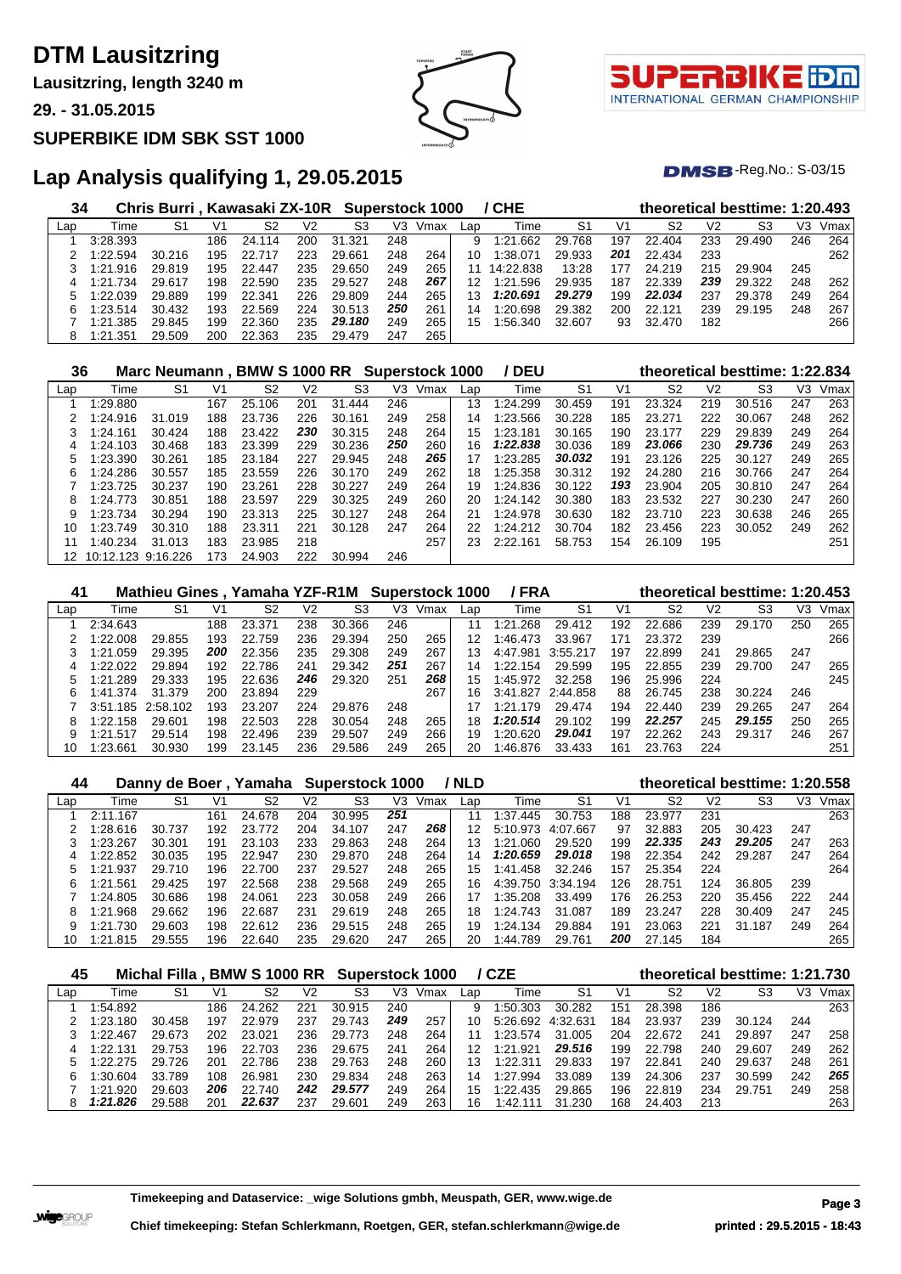**Lausitzring, length 3240 m**

**29. - 31.05.2015**

#### **SUPERBIKE IDM SBK SST 1000**



τl INTERNATIONAL GERMAN CHAMPIONSHIP

 $DMSB$ -Reg.No.:  $S-03/15$ 

| 34  |          | Chris Burri, Kawasaki ZX-10R Superstock 1000 |     |        |     |        |     |      |     | / CHE     |        |     | theoretical besttime: 1:20.493 |     |        |     |      |
|-----|----------|----------------------------------------------|-----|--------|-----|--------|-----|------|-----|-----------|--------|-----|--------------------------------|-----|--------|-----|------|
| Lap | Time     | S1                                           | V1  | S2     | V2  | S3     | V3  | Vmax | Lap | Time      | S1     | V1  | S2                             | V2  | S3     | V3  | Vmax |
|     | 3:28.393 |                                              | 186 | 24.114 | 200 | 31.321 | 248 |      | 9   | 1:21.662  | 29.768 | 197 | 22.404                         | 233 | 29.490 | 246 | 264  |
|     | 1:22.594 | 30.216                                       | 195 | 22.    | 223 | 29.661 | 248 | 264  | 10. | 1:38.071  | 29.933 | 201 | 22.434                         | 233 |        |     | 262  |
|     | 1:21.916 | 29.819                                       | 195 | 22.447 | 235 | 29.650 | 249 | 265  |     | 14:22.838 | 13:28  | 177 | 24.219                         | 215 | 29.904 | 245 |      |
| 4   | 1:21.734 | 29.617                                       | 198 | 22.590 | 235 | 29.527 | 248 | 267  | 12  | 1:21.596  | 29.935 | 187 | 22.339                         | 239 | 29.322 | 248 | 262  |
|     | 1:22.039 | 29.889                                       | 199 | 22.341 | 226 | 29.809 | 244 | 265  | 13  | 1:20.691  | 29.279 | 199 | 22.034                         | 237 | 29.378 | 249 | 264  |
| 6   | 1:23.514 | 30.432                                       | 193 | 22.569 | 224 | 30.513 | 250 | 261  | 14  | 1:20.698  | 29.382 | 200 | 22.121                         | 239 | 29.195 | 248 | 267  |
|     | 1:21.385 | 29.845                                       | 199 | 22,360 | 235 | 29.180 | 249 | 265  | 15  | 1:56.340  | 32.607 | 93  | 32.470                         | 182 |        |     | 266  |
| 8   | 1:21.351 | 29.509                                       | 200 | 22.363 | 235 | 29.479 | 247 | 265  |     |           |        |     |                                |     |        |     |      |

| 36  |                    | Marc Neumann, BMW S 1000 RR Superstock 1000 |     |        |     |        |     |      |     | / DEU    |                |     |                |                | theoretical besttime: 1:22.834 |     |      |
|-----|--------------------|---------------------------------------------|-----|--------|-----|--------|-----|------|-----|----------|----------------|-----|----------------|----------------|--------------------------------|-----|------|
| Lap | Time               | S <sub>1</sub>                              | V1  | S2     | V2  | S3     | V3  | Vmax | Lap | Time     | S <sub>1</sub> | V1  | S <sub>2</sub> | V <sub>2</sub> | S3                             | V3  | Vmax |
|     | 1:29.880           |                                             | 167 | 25.106 | 201 | 31.444 | 246 |      | 13  | 1:24.299 | 30.459         | 191 | 23.324         | 219            | 30.516                         | 247 | 263  |
|     | 1:24.916           | 31.019                                      | 188 | 23.736 | 226 | 30.161 | 249 | 258  | 14  | 1:23.566 | 30.228         | 185 | 23.271         | 222            | 30.067                         | 248 | 262  |
| 3   | 1:24.161           | 30.424                                      | 188 | 23.422 | 230 | 30.315 | 248 | 264  | 15  | 1:23.181 | 30.165         | 190 | 23.177         | 229            | 29.839                         | 249 | 264  |
| 4   | 1:24.103           | 30.468                                      | 183 | 23.399 | 229 | 30.236 | 250 | 260  | 16  | 1:22.838 | 30.036         | 189 | 23.066         | 230            | 29.736                         | 249 | 263  |
|     | 1:23.390           | 30.261                                      | 185 | 23.184 | 227 | 29.945 | 248 | 265  | 17  | 1:23.285 | 30.032         | 191 | 23.126         | 225            | 30.127                         | 249 | 265  |
| 6   | 1:24.286           | 30.557                                      | 185 | 23.559 | 226 | 30.170 | 249 | 262  | 18  | 1:25.358 | 30.312         | 192 | 24.280         | 216            | 30.766                         | 247 | 264  |
|     | 1:23.725           | 30.237                                      | 190 | 23.261 | 228 | 30.227 | 249 | 264  | 19  | 1:24.836 | 30.122         | 193 | 23.904         | 205            | 30.810                         | 247 | 264  |
| 8   | 1:24.773           | 30.851                                      | 188 | 23.597 | 229 | 30.325 | 249 | 260  | 20  | 1:24.142 | 30.380         | 183 | 23.532         | 227            | 30.230                         | 247 | 260  |
| 9   | 1:23.734           | 30.294                                      | 190 | 23.313 | 225 | 30.127 | 248 | 264  | 21  | 1:24.978 | 30.630         | 182 | 23.710         | 223            | 30.638                         | 246 | 265  |
| 10  | 1:23.749           | 30.310                                      | 188 | 23.311 | 221 | 30.128 | 247 | 264  | 22  | 1:24.212 | 30.704         | 182 | 23.456         | 223            | 30.052                         | 249 | 262  |
|     | 1:40.234           | 31.013                                      | 183 | 23.985 | 218 |        |     | 257  | 23  | 2:22.161 | 58.753         | 154 | 26.109         | 195            |                                |     | 251  |
| 12  | 10:12.123 9:16.226 |                                             | 173 | 24.903 | 222 | 30.994 | 246 |      |     |          |                |     |                |                |                                |     |      |

| 41  |              | Mathieu Gines, Yamaha YZF-R1M Superstock 1000 |     |        |     |        |     |      |     | / FRA        |          |     |        |                | theoretical besttime: 1:20.453 |     |      |
|-----|--------------|-----------------------------------------------|-----|--------|-----|--------|-----|------|-----|--------------|----------|-----|--------|----------------|--------------------------------|-----|------|
| Lap | Time         | S1                                            | V1  | S2     | V2  | S3     | V3  | Vmax | Lap | Time         | S1       | V1  | S2     | V <sub>2</sub> | S3                             | VЗ  | Vmax |
|     | 2:34.643     |                                               | 188 | 23.371 | 238 | 30.366 | 246 |      |     | l:21<br>.268 | 29.412   | 192 | 22.686 | 239            | 29.170                         | 250 | 265  |
|     | 1:22.008     | 29.855                                        | 193 | 22.759 | 236 | 29.394 | 250 | 265  | 12  | 1:46.473     | 33.967   | 171 | 23.372 | 239            |                                |     | 266  |
|     | .059<br>1:21 | 29.395                                        | 200 | 22.356 | 235 | 29.308 | 249 | 267  | 13  | 4:47.981     | 3:55.217 | 197 | 22.899 | 241            | 29.865                         | 247 |      |
| 4   | 1:22.022     | 29.894                                        | 192 | 22.786 | 241 | 29.342 | 251 | 267  | 14  | 1:22.154     | 29.599   | 195 | 22.855 | 239            | 29.700                         | 247 | 265  |
|     | 1:21.289     | 29.333                                        | 195 | 22.636 | 246 | 29.320 | 251 | 268  | 15  | 1:45.972     | 32.258   | 196 | 25.996 | 224            |                                |     | 245  |
| 6.  | 1:41.374     | 31.379                                        | 200 | 23.894 | 229 |        |     | 267  | 16  | 3:41.827     | 2:44.858 | 88  | 26.745 | 238            | 30.224                         | 246 |      |
|     | 3:51.185     | 2:58.102                                      | 193 | 23.207 | 224 | 29.876 | 248 |      |     | .179<br>1:21 | 29.474   | 194 | 22.440 | 239            | 29.265                         | 247 | 264  |
| 8   | 1:22.158     | 29.601                                        | 198 | 22.503 | 228 | 30.054 | 248 | 265  | 18  | 1:20.514     | 29.102   | 199 | 22.257 | 245            | 29.155                         | 250 | 265  |
|     | 1:21.517     | 29.514                                        | 198 | 22.496 | 239 | 29.507 | 249 | 266  | 19  | 1:20.620     | 29.041   | 197 | 22.262 | 243            | 29.317                         | 246 | 267  |
| 10  | 1:23.661     | 30.930                                        | 199 | 23.145 | 236 | 29.586 | 249 | 265  | 20  | :46.876      | 33.433   | 161 | 23.763 | 224            |                                |     | 251  |

| 44  |          | Danny de Boer, |     | Yamaha |     | Superstock 1000 |     |      | / NLD |                |          |     |        |     | theoretical besttime: 1:20.558 |     |      |
|-----|----------|----------------|-----|--------|-----|-----------------|-----|------|-------|----------------|----------|-----|--------|-----|--------------------------------|-----|------|
| Lap | Time     | S1             | V1  | S2     | V2  | S3              | V3  | Vmax | Lap   | Time           | S1       | V1  | S2     | V2  | S3                             | V3  | Vmax |
|     | 2:11.167 |                | 161 | 24.678 | 204 | 30.995          | 251 |      | 11    | 1:37<br>.445   | 30.753   | 188 | 23.977 | 231 |                                |     | 263  |
|     | 1:28.616 | 30.737         | 192 | 23.772 | 204 | 34.107          | 247 | 268  | 12    | 5:10.973       | 4:07.667 | 97  | 32.883 | 205 | 30.423                         | 247 |      |
|     | 1:23.267 | 30.301         | 191 | 23.103 | 233 | 29.863          | 248 | 264  | 13    | .റഗ<br>1:21    | 29.520   | 199 | 22.335 | 243 | 29.205                         | 247 | 263  |
| 4   | 1:22.852 | 30.035         | 195 | 22.947 | 230 | 29.870          | 248 | 264  | 14    | 1:20.659       | 29.018   | 198 | 22.354 | 242 | 29.287                         | 247 | 264  |
|     | 1:21.937 | 29.<br>.710    | 196 | 22.700 | 237 | 29.527          | 248 | 265  | 15    | .458<br>1:41   | 32.246   | 157 | 25.354 | 224 |                                |     | 264  |
| 6   | 1:21.561 | 29.425         | 197 | 22.568 | 238 | 29.568          | 249 | 265  | 16.   | 4:39.750       | 3:34.194 | 126 | 28.751 | 124 | 36.805                         | 239 |      |
|     | 1:24.805 | 30.686         | 198 | 24.061 | 223 | 30.058          | 249 | 266  | 17    | 1:35.208       | 33.499   | 176 | 26.253 | 220 | 35.456                         | 222 | 244  |
| 8   | 1:21.968 | 29.662         | 196 | 22.687 | 231 | 29.619          | 248 | 265  | 18    | 1:24.743       | 31.087   | 189 | 23.247 | 228 | 30.409                         | 247 | 245  |
|     | .730     | 29.603         | 198 | 22.612 | 236 | 29.515          | 248 | 265  | 19    | 1:24.134       | 29.884   | 191 | 23.063 | 221 | 31<br>.187                     | 249 | 264  |
|     | 1:21.815 | 29.555         | 196 | 22.640 | 235 | 29.620          | 247 | 265  | 20    | .789<br>l :44. | 29.761   | 200 | 27.145 | 184 |                                |     | 265  |

| 45  |          | Michal Filla |     | <b>BMW S 1000 RR</b> |     | <b>Superstock 1000</b> |     |      |     | / CZE    |          |     | theoretical besttime: 1:21.730 |     |        |     |      |
|-----|----------|--------------|-----|----------------------|-----|------------------------|-----|------|-----|----------|----------|-----|--------------------------------|-----|--------|-----|------|
| Lap | Time     | S1           | V1  | S2                   | V2  | S3                     | V3  | Vmax | Lap | Time     | S1       | V1  | S2                             | V2  | S3     | VЗ  | Vmax |
|     | .54.892  |              | 186 | 24.262               | 221 | 30.915                 | 240 |      | 9   | 1:50.303 | 30.282   | 151 | 28.398                         | 186 |        |     | 263  |
|     | 1:23.180 | 30.458       | 197 | 22,979               | 237 | 29.743                 | 249 | 257  | 10. | 5:26.692 | 4:32.631 | 184 | 23.937                         | 239 | 30.124 | 244 |      |
|     | 1:22.467 | 29.673       | 202 | 23.021               | 236 | 29.773                 | 248 | 264  |     | 1:23.574 | 31.005   | 204 | 22.672                         | 241 | 29.897 | 247 | 258  |
| 4   | 1:22.131 | 29.753       | 196 | 22.703               | 236 | 29.675                 | 241 | 264  | 12  | 1:21.921 | 29.516   | 199 | 22.798                         | 240 | 29.607 | 249 | 262  |
|     | 1:22.275 | 29.726       | 201 | 22.786               | 238 | 29.763                 | 248 | 260  | 13  | 1:22.311 | 29.833   | 197 | 22.841                         | 240 | 29.637 | 248 | 261  |
| հ   | 1:30.604 | 33.789       | 108 | 26.981               | 230 | 29.834                 | 248 | 263  | 14  | 1:27.994 | 33.089   | 139 | 24.306                         | 237 | 30.599 | 242 | 265  |
|     | 1:21.920 | 29.603       | 206 | 740<br>22.           | 242 | 29.577                 | 249 | 264  | 15  | 1:22.435 | 29.865   | 196 | 22.819                         | 234 | 29.751 | 249 | 258  |
|     | 1:21.826 | 29.588       | 201 | 22.637               | 237 | 29.601                 | 249 | 263  | 16  | 1:42.1   | 31.230   | 168 | 24.403                         | 213 |        |     | 263  |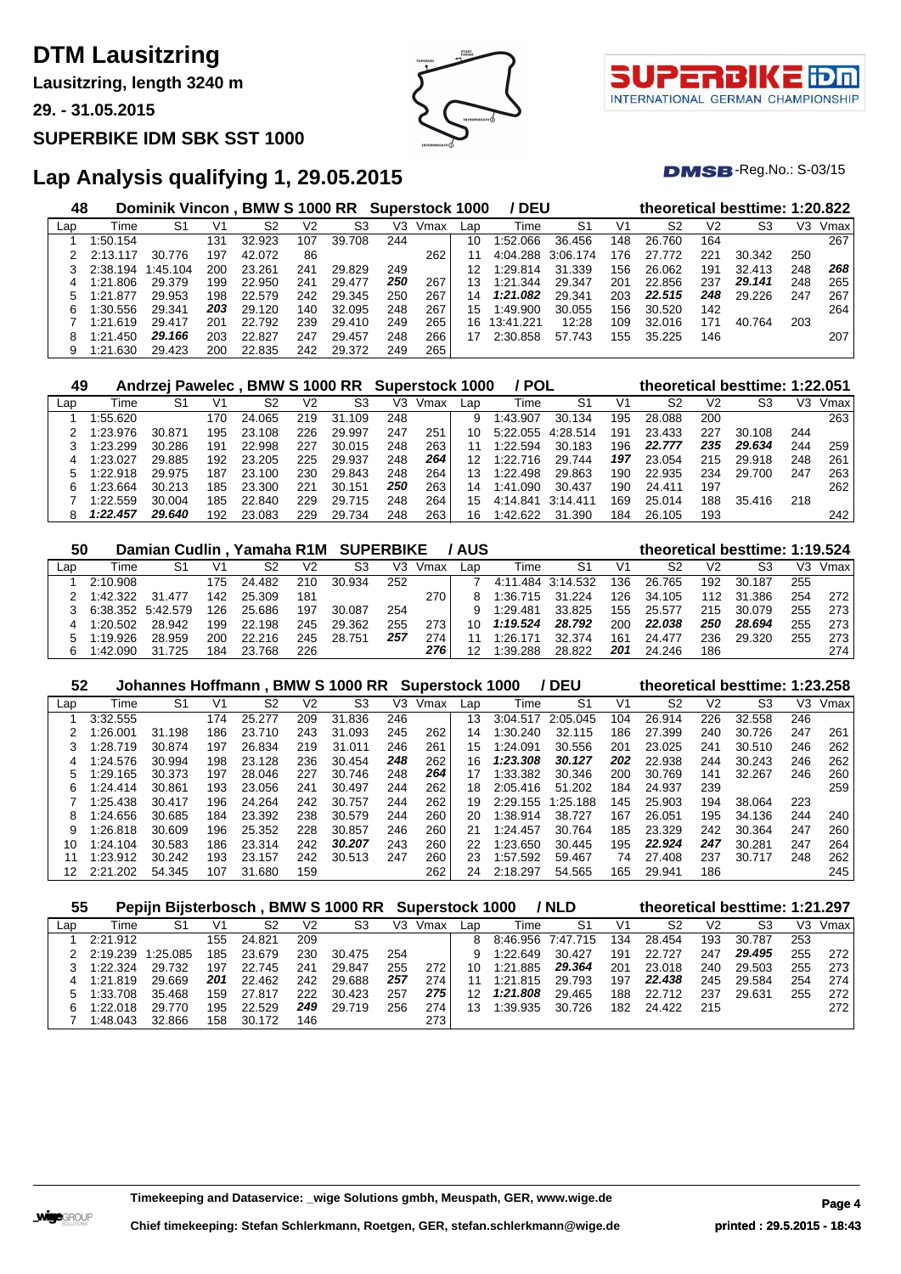**Lausitzring, length 3240 m**

**29. - 31.05.2015**

#### **SUPERBIKE IDM SBK SST 1000**





 $DMSB$ -Reg.No.:  $S-03/15$ 

| 48  |          | Dominik Vincon, BMW S 1000 RR Superstock 1000 |     |        |     |                |     |      |     | / DEU     |          |     |        |                | theoretical besttime: 1:20.822 |     |      |
|-----|----------|-----------------------------------------------|-----|--------|-----|----------------|-----|------|-----|-----------|----------|-----|--------|----------------|--------------------------------|-----|------|
| Lap | Time     | S1                                            | V1  | S2     | V2  | S <sub>3</sub> | V3  | Vmax | Lap | Time      | S1       | V1  | S2     | V <sub>2</sub> | S <sub>3</sub>                 | V3  | Vmax |
|     | 1:50.154 |                                               | 131 | 32.923 | 107 | 39.708         | 244 |      | 10  | :52.066   | 36.456   | 148 | 26.760 | 164            |                                |     | 267  |
|     | 2:13.117 | 30.776                                        | 197 | 42.072 | 86  |                |     | 262  | 11  | 4:04.288  | 3:06.174 | 176 | 27.772 | 221            | 30.342                         | 250 |      |
|     | 2:38.194 | :45.104                                       | 200 | 23.261 | 241 | 29.829         | 249 |      | 12  | 1:29.814  | 31.339   | 156 | 26.062 | 191            | 32.413                         | 248 | 268  |
| 4   | :21.806  | 29.379                                        | 199 | 22,950 | 241 | 29.477         | 250 | 267  | 13  | 1:21.344  | 29.347   | 201 | 22.856 | 237            | 29.141                         | 248 | 265  |
| 5   | :21.877  | 29.953                                        | 198 | 22.579 | 242 | 29.345         | 250 | 267  | 14  | 1:21.082  | 29.341   | 203 | 22.515 | 248            | 29.226                         | 247 | 267  |
| 6   | :30.556  | 29.341                                        | 203 | 29.120 | 140 | 32.095         | 248 | 267  | 15  | 1:49.900  | 30.055   | 156 | 30.520 | 142            |                                |     | 264  |
|     | :21.619  | 29.417                                        | 201 | 22.792 | 239 | 29.410         | 249 | 265  | 16  | 13:41.221 | 12:28    | 109 | 32.016 | 171            | 40.764                         | 203 |      |
| 8   | 1:21.450 | 29.166                                        | 203 | 22.827 | 247 | 29.457         | 248 | 266  |     | 2:30.858  | 57.743   | 155 | 35.225 | 146            |                                |     | 207  |
| 9   | 1:21.630 | 29.423                                        | 200 | 22.835 | 242 | 29.372         | 249 | 265  |     |           |          |     |        |                |                                |     |      |

| 49  |          | Andrzej Pawelec, BMW S 1000 RR Superstock 1000 |     |        |     |           |     |      |     | / POL    |          |     |        |     | theoretical besttime: 1:22.051 |     |      |
|-----|----------|------------------------------------------------|-----|--------|-----|-----------|-----|------|-----|----------|----------|-----|--------|-----|--------------------------------|-----|------|
| Lap | Time     | S1                                             | V1  | S2     | V2  | S3        | V3  | Vmax | Lap | Time     | S1       | V1  | S2     | V2  | S3                             | VЗ  | Vmax |
|     | 1:55.620 |                                                | 170 | 24.065 | 219 | 31<br>109 | 248 |      | 9   | 1:43.907 | 30.134   | 195 | 28.088 | 200 |                                |     | 263  |
|     | 1:23.976 | 30.871                                         | 195 | 23.108 | 226 | 29.997    | 247 | 251  | 10  | 5:22.055 | 4:28.514 | 191 | 23.433 | 227 | 30.108                         | 244 |      |
|     | 1:23.299 | 30.286                                         | 191 | 22.998 | 227 | 30.015    | 248 | 263  |     | 1:22.594 | 30.183   | 196 | 22.777 | 235 | 29.634                         | 244 | 259  |
|     | 1:23.027 | 29.885                                         | 192 | 23.205 | 225 | 29.937    | 248 | 264  | 12  | 1:22.716 | 29.744   | 197 | 23.054 | 215 | 29.918                         | 248 | 261  |
|     | 1:22.918 | 29.975                                         | 187 | 23.100 | 230 | 29.843    | 248 | 264  | 13  | 1:22.498 | 29.863   | 190 | 22.935 | 234 | 29.700                         | 247 | 263  |
| 6.  | 1:23.664 | 30.213                                         | 185 | 23.300 | 221 | 30.151    | 250 | 263  | 14  | 1:41.090 | 30.437   | 190 | 24.411 | 197 |                                |     | 262  |
|     | 1:22.559 | 30.004                                         | 185 | 22.840 | 229 | 29.715    | 248 | 264  | 15  | 4:14.841 | 3:14.411 | 169 | 25.014 | 188 | 35.416                         | 218 |      |
| 8   | 1:22.457 | 29.640                                         | 192 | 23.083 | 229 | 29.734    | 248 | 263  | 16  | 1:42.622 | 31.390   | 184 | 26.105 | 193 |                                |     | 242  |

| 50  |                   | Damian Cudlin, Yamaha R1M SUPERBIKE |      |        |     |        |     |      | / AUS |                   |        |     | theoretical besttime: 1:19.524 |                |        |     |      |
|-----|-------------------|-------------------------------------|------|--------|-----|--------|-----|------|-------|-------------------|--------|-----|--------------------------------|----------------|--------|-----|------|
| Lap | Time              | S1                                  | V1   | S2     | V2  | S3     | V3  | Vmax | Lan   | Time              | S1     | V1  | S2                             | V <sub>2</sub> | S3     | VЗ  | Vmax |
|     | 2:10.908          |                                     | 175. | 24.482 | 210 | 30.934 | 252 |      |       | 4:11.484 3:14.532 |        | 136 | 26.765                         | 192            | 30.187 | 255 |      |
|     | 1:42.322          | 31.477                              | 142  | 25.309 | 181 |        |     | 270  |       | 1:36.715          | 31.224 | 126 | 34.105                         | 112            | 31.386 | 254 | 272  |
|     | 6:38.352 5:42.579 |                                     | 126. | 25.686 | 197 | 30.087 | 254 |      |       | 1:29.481          | 33.825 | 155 | 25.577                         | 215            | 30.079 | 255 | 273  |
|     | 1:20.502          | 28.942                              | 199  | 22.198 | 245 | 29.362 | 255 | 273  | 10    | 1:19.524          | 28.792 | 200 | 22.038                         | 250            | 28.694 | 255 | 273  |
|     | 1:19.926          | 28.959                              | 200  | 22.216 | 245 | 28.751 | 257 | 274  |       | 1.26 171          | 32.374 | 161 | 24.477                         | 236            | 29.320 | 255 | 273  |
|     | 1:42.090          | 31.725                              | 184  | 23.768 | 226 |        |     | 276  |       | 1:39.288          | 28.822 | 201 | 24.246                         | 186            |        |     | 274  |

| 52  |              |        |     |        |                | Johannes Hoffmann, BMW S 1000 RR Superstock 1000 |     |      |     |          | / DEU          |     | theoretical besttime: 1:23.258 |     |        |     |      |
|-----|--------------|--------|-----|--------|----------------|--------------------------------------------------|-----|------|-----|----------|----------------|-----|--------------------------------|-----|--------|-----|------|
| Lap | Time         | S1     | V1  | S2     | V <sub>2</sub> | S3                                               | V3  | Vmax | Lap | Time     | S <sub>1</sub> | V1  | S2                             | V2  | S3     | V3  | Vmax |
|     | 3:32.555     |        | 174 | 25.277 | 209            | 31.836                                           | 246 |      | 13  | 3:04.517 | 2:05.045       | 104 | 26.914                         | 226 | 32.558 | 246 |      |
|     | 1:26.001     | 31.198 | 186 | 23.710 | 243            | .093<br>31                                       | 245 | 262  | 14  | 1:30.240 | 32.115         | 186 | 27.399                         | 240 | 30.726 | 247 | 261  |
| 3   | 1:28.719     | 30.874 | 197 | 26.834 | 219            | 31.011                                           | 246 | 261  | 15  | 1:24.091 | 30.556         | 201 | 23.025                         | 241 | 30.510 | 246 | 262  |
|     | 1:24.576     | 30.994 | 198 | 23.128 | 236            | 30.454                                           | 248 | 262  | 16  | 1:23.308 | 30.127         | 202 | 22.938                         | 244 | 30.243 | 246 | 262  |
| 5   | 1:29.165     | 30.373 | 197 | 28.046 | 227            | 30.746                                           | 248 | 264  | 17  | 1:33.382 | 30.346         | 200 | 30.769                         | 141 | 32.267 | 246 | 260  |
| 6   | 1:24.414     | 30.861 | 193 | 23.056 | 241            | 30.497                                           | 244 | 262  | 18  | 2:05.416 | 51.202         | 184 | 24.937                         | 239 |        |     | 259  |
|     | 1:25.438     | 30.417 | 196 | 24.264 | 242            | 30.757                                           | 244 | 262  | 19  | 2:29.155 | 1:25.188       | 145 | 25.903                         | 194 | 38.064 | 223 |      |
| 8   | 1:24.656     | 30.685 | 184 | 23.392 | 238            | 30.579                                           | 244 | 260  | 20  | 1:38.914 | 38.727         | 167 | 26.051                         | 195 | 34.136 | 244 | 240  |
| 9   | 1:26.818     | 30.609 | 196 | 25.352 | 228            | 30.857                                           | 246 | 260  | 21  | 1:24.457 | 30.764         | 185 | 23.329                         | 242 | 30.364 | 247 | 260  |
| 10  | 1:24.104     | 30.583 | 186 | 23.314 | 242            | 30.207                                           | 243 | 260  | 22  | 1:23.650 | 30.445         | 195 | 22.924                         | 247 | 30.281 | 247 | 264  |
| 11  | 1:23.912     | 30.242 | 193 | 23.157 | 242            | 30.513                                           | 247 | 260  | 23  | 1:57.592 | 59.467         | 74  | 27.408                         | 237 | 30.717 | 248 | 262  |
| 12  | .202<br>2:21 | 54.345 | 107 | 31.680 | 159            |                                                  |     | 262  | 24  | 2:18.297 | 54.565         | 165 | 29.941                         | 186 |        |     | 245  |

| 55  |          |         |     |        |     | Pepijn Bijsterbosch, BMW S 1000 RR Superstock 1000 |     |      |     |          | / NLD          |     |        |                | theoretical besttime: 1:21.297 |     |      |
|-----|----------|---------|-----|--------|-----|----------------------------------------------------|-----|------|-----|----------|----------------|-----|--------|----------------|--------------------------------|-----|------|
| Lap | Time     | S1      | V1  | S2     | V2  | S3                                                 | V3  | Vmax | Lap | Гіmе     | S <sub>1</sub> | V1  | S2     | V <sub>2</sub> | S3                             | V3  | Vmax |
|     | 2:21.912 |         | 155 | 24.821 | 209 |                                                    |     |      | 8   | 8:46.956 | 7:47.715       | 134 | 28.454 | 193            | 30.787                         | 253 |      |
|     | 2:19.239 | 1.25085 | 185 | 23.679 | 230 | 30.475                                             | 254 |      |     | 1:22.649 | 30.427         | 191 | 22.727 | 247            | 29.495                         | 255 | 272  |
|     | 1:22.324 | 29.732  | 197 | 22.745 | 241 | 29.847                                             | 255 | 272  | 10  | 1:21.885 | 29.364         | 201 | 23.018 | 240            | 29.503                         | 255 | 273  |
|     | 1:21.819 | 29.669  | 201 | 22.462 | 242 | 29.688                                             | 257 | 274  |     | 1:21.815 | 29.793         | 197 | 22.438 | 245            | 29.584                         | 254 | 274  |
|     | 1:33.708 | 35.468  | 159 | 27.817 | 222 | 30.423                                             | 257 | 275  | 12  | 1:21.808 | 29.465         | 188 | 22.712 | 237            | 29.631                         | 255 | 272  |
|     | 1:22.018 | 29.770  | 195 | 22.529 | 249 | 29.719                                             | 256 | 274  | 13  | 1:39.935 | 30.726         | 182 | 24.422 | 215            |                                |     | 272  |
|     | 1:48.043 | 32.866  | 158 | 30.172 | 146 |                                                    |     | 273  |     |          |                |     |        |                |                                |     |      |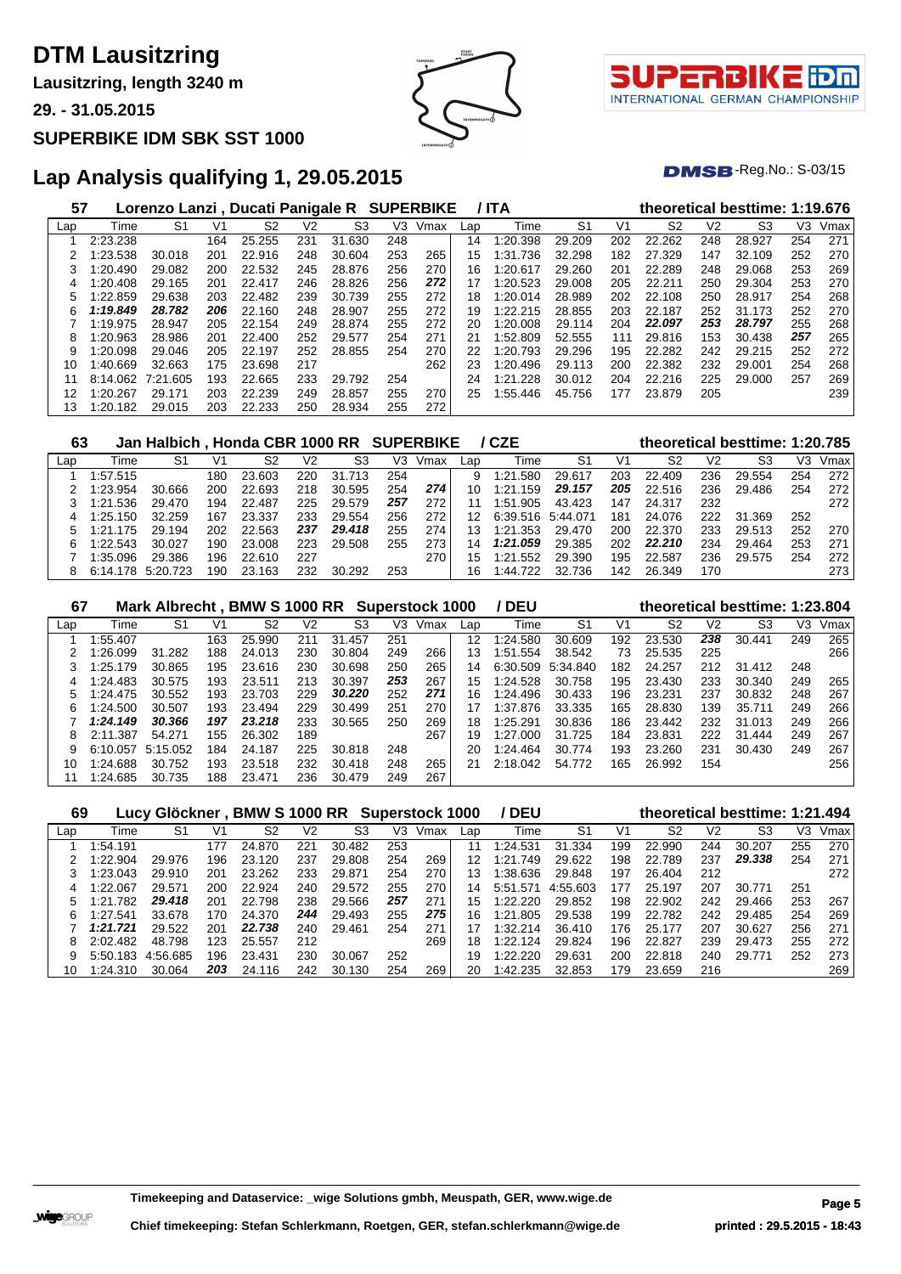**Lausitzring, length 3240 m**

**29. - 31.05.2015**

#### **SUPERBIKE IDM SBK SST 1000**





 $DMSB$ -Reg.No.:  $S-03/15$ 

| 57  |          | Lorenzo Lanzi, Ducati Panigale R SUPERBIKE |     |        |     |                |     |      |     | / ITA        |                |     |                |                | theoretical besttime: 1:19.676 |     |      |
|-----|----------|--------------------------------------------|-----|--------|-----|----------------|-----|------|-----|--------------|----------------|-----|----------------|----------------|--------------------------------|-----|------|
| Lap | Time     | S <sub>1</sub>                             | V1  | S2     | V2  | S <sub>3</sub> | V3  | Vmax | Lap | Time         | S <sub>1</sub> | V1  | S <sub>2</sub> | V <sub>2</sub> | S <sub>3</sub>                 | V3  | Vmax |
|     | 2:23.238 |                                            | 164 | 25.255 | 231 | 31.630         | 248 |      | 14  | 1:20.398     | 29.209         | 202 | 22.262         | 248            | 28.927                         | 254 | 271  |
|     | :23.538  | 30.018                                     | 201 | 22.916 | 248 | 30.604         | 253 | 265  | 15  | .736<br>1:31 | 32.298         | 182 | 27.329         | 147            | 32.109                         | 252 | 270  |
| 3   | :20.490  | 29.082                                     | 200 | 22.532 | 245 | 28.876         | 256 | 270  | 16  | 1:20.617     | 29.260         | 201 | 22.289         | 248            | 29.068                         | 253 | 269  |
| 4   | :20.408  | 29.165                                     | 201 | 22.417 | 246 | 28.826         | 256 | 272  | 17  | 1:20.523     | 29.008         | 205 | 22.211         | 250            | 29.304                         | 253 | 270  |
| 5   | :22.859  | 29.638                                     | 203 | 22.482 | 239 | 30.739         | 255 | 272  | 18  | 1:20.014     | 28.989         | 202 | 22.108         | 250            | 28.917                         | 254 | 268  |
| 6   | 1:19.849 | 28.782                                     | 206 | 22.160 | 248 | 28,907         | 255 | 272  | 19  | 1:22.215     | 28.855         | 203 | 22.187         | 252            | 31.173                         | 252 | 270  |
|     | 1:19.975 | 28.947                                     | 205 | 22.154 | 249 | 28.874         | 255 | 272  | 20  | 1:20.008     | 29.114         | 204 | 22.097         | 253            | 28.797                         | 255 | 268  |
| 8   | :20.963  | 28.986                                     | 201 | 22,400 | 252 | 29.577         | 254 | 271  | 21  | 1:52.809     | 52.555         | 111 | 29.816         | 153            | 30.438                         | 257 | 265  |
| 9   | 1:20.098 | 29.046                                     | 205 | 22.197 | 252 | 28.855         | 254 | 270  | 22  | 1:20.793     | 29.296         | 195 | 22.282         | 242            | 29.215                         | 252 | 272  |
| 10  | :40.669  | 32.663                                     | 175 | 23.698 | 217 |                |     | 262  | 23  | 1:20.496     | 29.113         | 200 | 22.382         | 232            | 29.001                         | 254 | 268  |
| 11  | 8:14.062 | 7:21.605                                   | 193 | 22.665 | 233 | 29.792         | 254 |      | 24  | 1:21.228     | 30.012         | 204 | 22.216         | 225            | 29,000                         | 257 | 269  |
| 12  | 1:20.267 | 29.171                                     | 203 | 22.239 | 249 | 28.857         | 255 | 270  | 25  | 1:55.446     | 45.756         | 177 | 23.879         | 205            |                                |     | 239  |
| 13  | 1:20.182 | 29.015                                     | 203 | 22.233 | 250 | 28.934         | 255 | 272  |     |              |                |     |                |                |                                |     |      |

| 63  |          | Jan Halbich, Honda CBR 1000 RR SUPERBIKE / CZE |      |        |     |        |     |      |     |                   |        |     | theoretical besttime: 1:20.785 |     |        |     |      |
|-----|----------|------------------------------------------------|------|--------|-----|--------|-----|------|-----|-------------------|--------|-----|--------------------------------|-----|--------|-----|------|
| Lap | Time     | S1                                             | V1   | S2     | V2  | S3     | V3  | Vmax | ∟ap | Time              | S1     | V1  | S2                             | V2  | S3     | VЗ  | Vmax |
|     | 1:57.515 |                                                | 180  | 23.603 | 220 | 31.713 | 254 |      | 9   | 1:21.580          | 29.617 | 203 | 22.409                         | 236 | 29.554 | 254 | 272  |
|     | 1:23.954 | 30.666                                         | 200. | 22.693 | 218 | 30.595 | 254 | 274  | 10  | 1:21.159          | 29.157 | 205 | 22.516                         | 236 | 29.486 | 254 | 272  |
|     | 1:21.536 | 29.470                                         | 194  | 22.487 | 225 | 29.579 | 257 | 272  |     | 1:51.905          | 43.423 | 147 | 24.317                         | 232 |        |     | 272  |
|     | 1:25.150 | 32.259                                         | 167  | 23.337 | 233 | 29.554 | 256 | 272  | 12  | 6:39.516 5:44.071 |        | 181 | 24.076                         | 222 | 31.369 | 252 |      |
|     | 1:21.175 | 29.194                                         | 202  | 22.563 | 237 | 29,418 | 255 | 274  | 13  | 1:21.353          | 29.470 | 200 | 22.370                         | 233 | 29.513 | 252 | 270  |
| 6   | 1:22.543 | 30.027                                         | 190  | 23.008 | 223 | 29.508 | 255 | 273  | 14  | 1:21.059          | 29.385 | 202 | 22.210                         | 234 | 29.464 | 253 | 271  |
|     | 1:35.096 | 29.386                                         | 196  | 22.610 | 227 |        |     | 270  | 15  | 1:21.552          | 29.390 | 195 | 22.587                         | 236 | 29.575 | 254 | 272  |
|     | 6:14.178 | 5:20.723                                       | 190  | 23.163 | 232 | 30.292 | 253 |      | 16  | 1:44.722          | 32.736 | 142 | 26.349                         | 170 |        |     | 273  |

| 67  |          | Mark Albrecht, BMW S 1000 RR Superstock 1000 |     |        |                |        |     |      |     | / DEU    |          |     |        |                | theoretical besttime: 1:23.804 |     |      |
|-----|----------|----------------------------------------------|-----|--------|----------------|--------|-----|------|-----|----------|----------|-----|--------|----------------|--------------------------------|-----|------|
| Lap | Time     | S1                                           | V1  | S2     | V <sub>2</sub> | S3     | V3  | Vmax | Lap | Time     | S1       | V1  | S2     | V <sub>2</sub> | S3                             | V3  | Vmax |
|     | 1:55.407 |                                              | 163 | 25.990 | 211            | 31.457 | 251 |      | 12  | 1:24.580 | 30.609   | 192 | 23.530 | 238            | 30.441                         | 249 | 265  |
|     | 1:26.099 | 31.282                                       | 188 | 24.013 | 230            | 30.804 | 249 | 266  | 13  | 1:51.554 | 38.542   | 73  | 25.535 | 225            |                                |     | 266  |
|     | 1:25.179 | 30.865                                       | 195 | 23.616 | 230            | 30.698 | 250 | 265  | 14  | 6:30.509 | 5:34.840 | 182 | 24.257 | 212            | 31.412                         | 248 |      |
|     | 1:24.483 | 30.575                                       | 193 | 23.511 | 213            | 30.397 | 253 | 267  | 15  | 1:24.528 | 30.758   | 195 | 23.430 | 233            | 30.340                         | 249 | 265  |
| 5   | 1:24.475 | 30.552                                       | 193 | 23.703 | 229            | 30.220 | 252 | 271  | 16  | 1:24.496 | 30.433   | 196 | 23.231 | 237            | 30.832                         | 248 | 267  |
| 6.  | 1:24.500 | 30.507                                       | 193 | 23.494 | 229            | 30.499 | 251 | 270  | 17  | 1:37.876 | 33.335   | 165 | 28.830 | 139            | 35.711                         | 249 | 266  |
|     | 1:24.149 | 30.366                                       | 197 | 23.218 | 233            | 30.565 | 250 | 269  | 18  | 1:25.291 | 30.836   | 186 | 23.442 | 232            | 31.013                         | 249 | 266  |
| 8   | 2:11.387 | 54.271                                       | 155 | 26.302 | 189            |        |     | 267  | 19  | 1:27.000 | 31.725   | 184 | 23.831 | 222            | 31.444                         | 249 | 267  |
| 9   | 6:10.057 | 5:15.052                                     | 184 | 24.187 | 225            | 30.818 | 248 |      | 20  | 1:24.464 | 30.774   | 193 | 23.260 | 231            | 30.430                         | 249 | 267  |
| 10  | 1:24.688 | 30.752                                       | 193 | 23.518 | 232            | 30.418 | 248 | 265  | 21  | 2:18.042 | 54.772   | 165 | 26.992 | 154            |                                |     | 256  |
|     | 1:24.685 | 30.735                                       | 188 | 23.471 | 236            | 30.479 | 249 | 267  |     |          |          |     |        |                |                                |     |      |

| 69  |          | Lucy Glöckner, BMW S 1000 RR Superstock 1000 |     |        |     |        |     |      |     | / DEU        |          |     | theoretical besttime: 1:21.494 |     |        |     |      |
|-----|----------|----------------------------------------------|-----|--------|-----|--------|-----|------|-----|--------------|----------|-----|--------------------------------|-----|--------|-----|------|
| Lap | Time     | S1                                           | V1  | S2     | V2  | S3     | V3  | Vmax | Lap | Time         | -S1      | V1  | S2                             | V2  | S3     | VЗ  | Vmax |
|     | 1:54.191 |                                              | 177 | 24.870 | 221 | 30.482 | 253 |      |     | 1:24.531     | 31.334   | 199 | 22.990                         | 244 | 30.207 | 255 | 270  |
|     | 1:22.904 | 29.976                                       | 196 | 23.120 | 237 | 29.808 | 254 | 269  | 12  | 1:21<br>.749 | 29.622   | 198 | 22.789                         | 237 | 29.338 | 254 | 271  |
|     | 1:23.043 | 29.910                                       | 201 | 23.262 | 233 | 29.871 | 254 | 270  | 13  | 1:38.636     | 29.848   | 197 | 26.404                         | 212 |        |     | 272  |
|     | 1:22.067 | 29.571                                       | 200 | 22.924 | 240 | 29.572 | 255 | 270  | 14  | 5:51.571     | 4:55.603 | 177 | 25.197                         | 207 | 30.771 | 251 |      |
|     | 1:21.782 | 29.418                                       | 201 | 22.798 | 238 | 29.566 | 257 | 271  | 15  | 1:22.220     | 29.852   | 198 | 22.902                         | 242 | 29.466 | 253 | 267  |
| 6   | 1:27.541 | 33.678                                       | 170 | 24.370 | 244 | 29.493 | 255 | 275  | 16  | 1:21<br>.805 | 29.538   | 199 | 22.782                         | 242 | 29.485 | 254 | 269  |
|     | 1:21.721 | 29.522                                       | 201 | 22.738 | 240 | 29.461 | 254 | 271  | 17  | 1:32.214     | 36.410   | 176 | 25.177                         | 207 | 30.627 | 256 | 271  |
| 8   | 2:02.482 | 48.798                                       | 123 | 25.557 | 212 |        |     | 269  | 18  | 1:22.124     | 29.824   | 196 | 22,827                         | 239 | 29.473 | 255 | 272  |
| 9   | 5:50.183 | 4:56.685                                     | 196 | 23.431 | 230 | 30.067 | 252 |      | 19  | 1:22.220     | 29.631   | 200 | 22.818                         | 240 | 29.771 | 252 | 273  |
| 10  | 1:24.310 | 30.064                                       | 203 | 24.116 | 242 | 30.130 | 254 | 269  | 20  | 1:42.235     | 32.853   | 179 | 23.659                         | 216 |        |     | 269  |